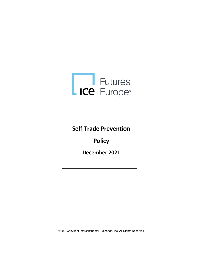

**Self-Trade Prevention** 

**Policy**

**December 2021**

©2021Copyright Intercontinental Exchange, Inc. All Rights Reserved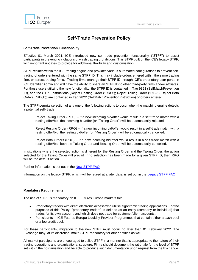

## **Self-Trade Prevention Policy**

## **Self-Trade Prevention Functionality**

Effective 01 March 2021, ICE introduced new self-trade prevention functionality ("STPF") to assist participants in preventing violations of wash trading prohibitions. This STPF built on the ICE's legacy STPF, with important updates to provide for additional flexibility and customisation.

STPF resides within the ICE trading engine and provides various automated configurations to prevent selftrading of orders entered with the same STPF ID. This may include orders entered within the same trading firm, or across trading firms. Trading firms manage their STPF ID through ICE's proprietary user portal in ICE Identifier Admin and will have the ability to share an STPF ID to other third-party firms and/or affiliates. For those users utilizing the new functionality, the STPF ID is contained in Tag 9821 (SelfMatchPrevention ID), and the STPF instructions (Reject Resting Order ("RRO"); Reject Taking Order ("RTO"); Reject Both Orders ("RBO")) are contained in Tag 9822 (SelfMatchPreventionInstruction) of orders entered.

The STPF permits selection of any one of the following actions to occur when the matching engine detects a potential self- trade:

Reject Taking Order (RTO) – If a new incoming bid/offer would result in a self-trade match with a resting offer/bid, the incoming bid/offer (or "Taking Order") will be automatically rejected.

Reject Resting Order (RRO) – If a new incoming bid/offer would result in a self-trade match with a resting offer/bid, the resting bid/offer (or "Resting Order") will be automatically cancelled.

Reject Both Orders (RBO) – If a new incoming bid/offer would result in a self-trade match with a resting offer/bid, both the Taking Order and Resting Order will be automatically cancelled.

In situations where the selected action is different for the Resting Order and the Taking Order, the action selected for the Taking Order will prevail. If no selection has been made for a given STPF ID, then RRO will be the default action.

Further information is set out in the [New STPF FAQ.](https://www.theice.com/publicdocs/futures/IFEU_Self_Trade_Prevention_Functionality_FAQ.pdf)

Information on the legacy STPF, which will be retired at a later date, is set out in the [Legacy STPF](https://www.theice.com/publicdocs/futures/IFEU_Self_Trade_Prevention_FAQ.pdf) FAQ.

## **Mandatory Requirements**

The use of STPF is mandatory on ICE Futures Europe markets for:

- Proprietary traders with direct electronic access who utilise algorithmic trading applications. For the purposes of this Policy, "proprietary traders" is defined as an entity (company or individual) that trades for its own account, and which does not trade for customer/client accounts.
- Participants in ICE Futures Europe Liquidity Provider Programmes that contain either a cash pool or a fee credit pool.

For these participants, migration to the new STPF must occur no later than 01 February 2022. The Exchange may, at its discretion, make STPF mandatory for other entities as well.

All market participants are encouraged to utilise STPF in a manner that is appropriate to the nature of their trading operations and organisational structure. Firms should document the rationale for the level of STPF set within their organisation and be able to produce such documentation upon request from the Exchange.